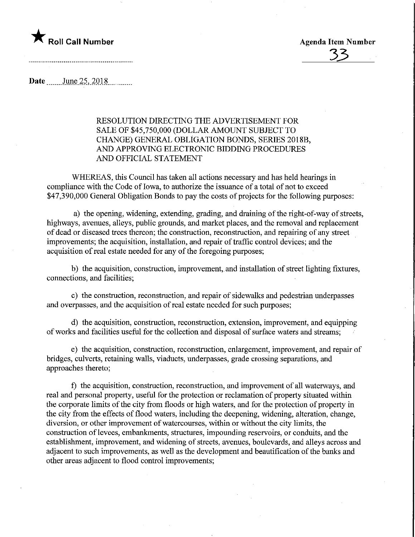

33

Date June 25, 2018

## RESOLUTION DIRECTING THE ADVERTISEMENT FOR SALE OF \$45,750,000 (DOLLAR AMOUNT SUBJECT TO CHANGE) GENERAL OBLIGATION BONDS, SERIES 2018B, AND APPROVING ELECTRONIC BIDDING PROCEDURES AND OFFICIAL STATEMENT

WHEREAS, this Council has taken all actions necessary and has held hearings in compliance with the Code of Iowa, to authorize the issuance of a total of not to exceed \$47,390,000 General Obligation Bonds to pay the costs of projects for the following purposes:

a) the opening, widening, extending, grading, and draining of the right-of-way of streets, highways, avenues, alleys, public grounds, and market places, and the removal and replacement of dead or diseased trees thereon; the construction, reconstruction, and repairing of any street improvements; the acquisition, installation, and repair of traffic control devices; and the acquisition of real estate needed for any of the foregoing purposes;

b) the acquisition, construction, improvement, and installation of street lighting fixtures, connections, and facilities;

c) the construction, reconstruction, and repair of sidewalks and pedestrian underpasses and overpasses, and the acquisition of real estate needed for such purposes;

d) the acquisition, construction, reconstruction, extension, improvement, and equipping of works and facilities useful for the collection and disposal of surface waters and streams;

e) the acquisition, construction, reconstruction, enlargement, improvement, and repair of bridges, culverts, retaining walls, viaducts, underpasses, grade crossing separations, and approaches thereto;

f) the acquisition, construction, reconstruction, and improvement of all waterways, and real and personal property, useful for the protection or reclamation of property situated within the corporate limits of the city from floods or high waters, and for the protection of property in the city from the effects of flood waters, including the deepening, widening, alteration, change, diversion, or other improvement of watercourses, within or without the city limits, the construction of levees, embankments, structures, impounding reservoirs, or conduits, and the establishment, improvement, and widening of streets, avenues, boulevards, and alleys across and adjacent to such improvements, as well as the development and beautification of the banks and other areas adjacent to flood control improvements;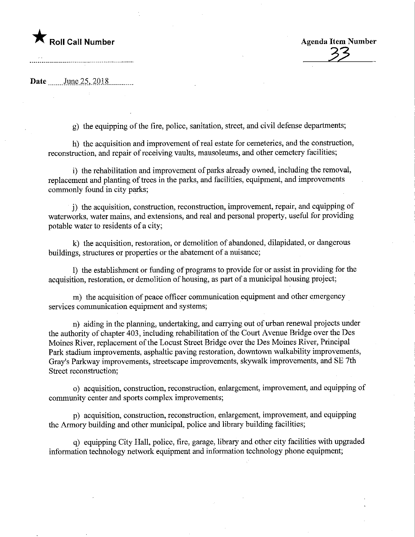# region and the Music Call Number and the Agenda Item Number

33

Date June 25, 2018

g) the equipping of the fire, police, sanitation, street, and civil defense departments;

h) the acquisition and improvement of real estate for cemeteries, and the construction, reconstruction, and repair of receiving vaults, mausoleums, and other cemetery facilities;

i) the rehabilitation and improvement of parks already owned, including the removal, replacement and planting of trees in the parks, and facilities, equipment, and improvements commonly found in city parks;

j) the acquisition, construction, reconstruction, improvement, repair, and equipping of waterworks, water mains, and extensions, and real and personal property, useful for providing potable water to residents of a city;

k) the acquisition, restoration, or demolition of abandoned, dilapidated, or dangerous buildings, structures or properties or the abatement of a nuisance;

1) the establishment or funding of programs to provide for or assist in providing for the acquisition, restoration, or demolition of housing, as part of a municipal housing project;

m) the acquisition of peace officer communication equipment and other emergency services communication equipment and systems;

n) aiding in the planning, undertaking, and carrying out of urban renewal projects under the authority of chapter 403, including rehabilitation of the Court Avenue Bridge over the Des Moines River, replacement of the Locust Street Bridge over the Des Moines River, Prmcipal Park stadium improvements, asphaltic paving restoration, downtown walkability improvements, Gray's Parkway improvements, streetscape improvements, skywalk improvements, and SE 7th Street reconstruction;

o) acquisition, construction, reconstruction, enlargement, improvement, and equipping of community center and sports complex improvements;

p) acquisition, construction, reconstruction, enlargement, improvement, and equipping the Annory building and other municipal, police and library building facilities;

q) equipping City Hall, police, fire, garage, library and other city facilities with upgraded information technology network equipment and information technology phone equipment;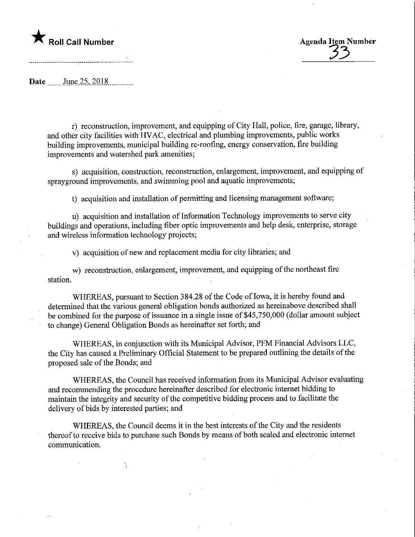

Date June 25, 2018

r) reconstruction, improvement, and equipping of City Hall, police, fire, garage, library, and other city facilities with HVAC, electrical and plumbing improvements, public works building improvements, municipal building re-roofing, energy conservation, fire building improvements and watershed park amenities;

s) acquisition, construction, reconstruction, enlargement, improvement, and equipping of sprayground improvements, and swimming pool and aquatic improvements;

t) acquisition and installation of permitting and licensing management software;

u) acquisition and installation of Information Technology improvements to serve city buildings and operations, including fiber optic improvements and help desk, enterprise, storage and wireless information technology projects;

v) acquisition of new and replacement media for city libraries; and

w) reconstruction, enlargement, improvement, and equipping of the northeast fire station.

WHEREAS, pursuant to Section 384.28 of the Code of Iowa, it is hereby found and determined that the various general obligation bonds authorized as hereinabove described shall be combined for the purpose of issuance in a single issue of \$45,750,000 (dollar amount subject to change) General Obligation Bonds as hereinafter set forth; and

WHEREAS, in conjunction with its Municipal Advisor, PFM Financial Advisors LLC, the City has caused a Preliminary Official Statement to be prepared outlining the details of the proposed sale of the Bonds; and

WHEREAS, the Council has received information from its Municipal Advisor evaluating and recommending the procedure hereinafter described for electronic internet bidding to maintam the integrity and security of the competitive bidding process and to facilitate the delivery of bids by interested parties; and

WHEREAS, the Council deems it in the best interests of the City and the residents thereof to receive bids to purchase such Bonds by means of both sealed and electronic internet communication.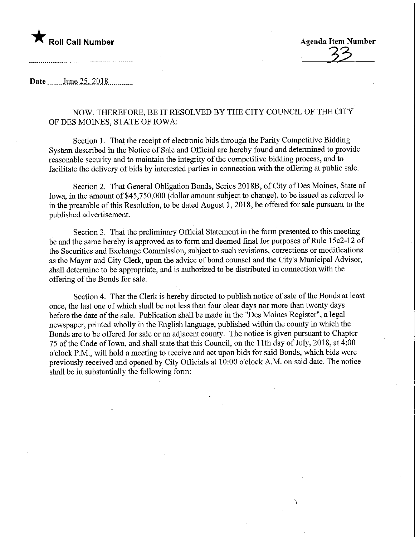

Date June 25, 2018

### NOW, THEREFORE, BE IT RESOLVED BY THE CITY COUNCIL OF THE CITY OF DES MOINES, STATE OF IOWA:

Section 1. That the receipt of electronic bids through the Parity Competitive Bidding System described in the Notice of Sale and Official are hereby found and determined to provide reasonable security and to maintain the integrity of the competitive bidding process, and to facilitate the delivery of bids by interested parties in connection with the offering at public sale.

Section 2. That General Obligation Bonds, Series 2018B, of City of Des Moines, State of Iowa, in the amount of \$45,750,000 (dollar amount subject to change), to be issued as referred to in the preamble of this Resolution, to be dated August 1, 2018, be offered for sale pursuant to the published advertisement.

Section 3. That the preliminary Official Statement in the form presented to this meeting be and the same hereby is approved as to form and deemed final for purposes of Rule 15c2-12 of the Securities and Exchange Commission, subject to such revisions, corrections or modifications as the Mayor and City Clerk, upon the advice of bond counsel and the City's Municipal Advisor, shall determine to be appropriate, and is authorized to be distributed in connection with the offering of the Bonds for sale.

Section 4. That the Clerk is hereby directed to publish notice of sale of the Bonds at least once, the last one of which shall be not less than four clear days nor more than twenty days before the date of the sale. Publication shall be made in the "Des Moines Register", a legal newspaper, printed wholly in the English language, published within the county in which the Bonds are to be offered for sale or an adjacent county. The notice is given pursuant to Chapter 75 of the Code of Iowa, and shall state that this Council, on the 11th day of July, 2018, at 4:00 o'clock P.M., will hold a meeting to receive and act upon bids for said Bonds, which bids were previously received and opened by City Officials at 10:00 o'clock A.M. on said date. The notice shall be in substantially the following form: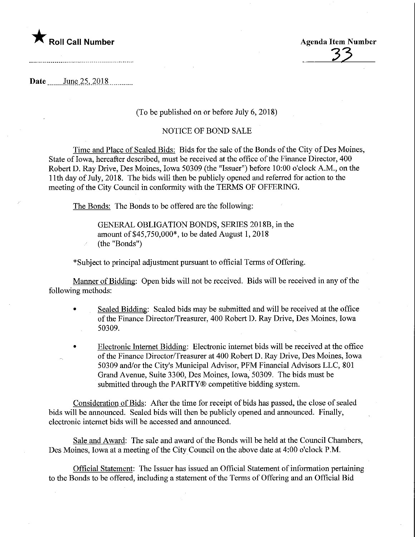

33

Date \_\_\_\_\_\_ June 25, 2018

#### (To be published on or before July 6, 2018)

#### NOTICE OF BOND SALE

Time and Place of Sealed Bids: Bids for the sale of the Bonds of the City of Des Moines, State of Iowa, hereafter described, must be received at the office of the Finance Director, 400 Robert D. Ray Drive, Des Moines, Iowa 50309 (the "Issuer") before 10:00 o'clock A.M., on the 11th day of July, 2018. The bids will then be publicly opened and referred for action to the meeting of the City Council in conformity with the TERMS OF OFFERING.

The Bonds: The Bonds to be offered are the following:

GENERAL OBLIGATION BONDS, SERIES 2018B, in the amount of \$45,750,000\*, to be dated August 1, 2018 (the "Bonds")

\* Subject to principal adjustment pursuant to official Terms of Offering.

Manner of Bidding: Open bids will not be received. Bids will be received in any of the following methods:

- Sealed Bidding: Sealed bids may be submitted and will be received at the office of the Finance Director/Treasurer, 400 Robert D. Ray Drive, Des Moines, Iowa 50309.
- Electronic Internet Bidding: Electronic internet bids will be received at the office of the Finance Director/Treasurer at 400 Robert D. Ray Drive, Des Moines, Iowa 50309 and/or the City's Municipal Advisor, PFM Financial Advisors LLC, 801 Grand Avenue, Suite 3300, Des Moines, Iowa, 50309. The bids must be submitted through the PARITY® competitive bidding system.

Consideration of Bids: After the time for receipt of bids has passed, the close of sealed bids will be announced. Sealed bids will then be publicly opened and announced. Finally, electronic internet bids will be accessed and announced.

Sale and Award: The sale and award of the Bonds will be held at the Council Chambers, Des Moines, Iowa at a meeting of the City Council on the above date at 4:00 o'clock P.M.

Official Statement: The Issuer has issued an Official Statement of information pertaining to the Bonds to be offered, including a statement of the Terms of Offering and an Official Bid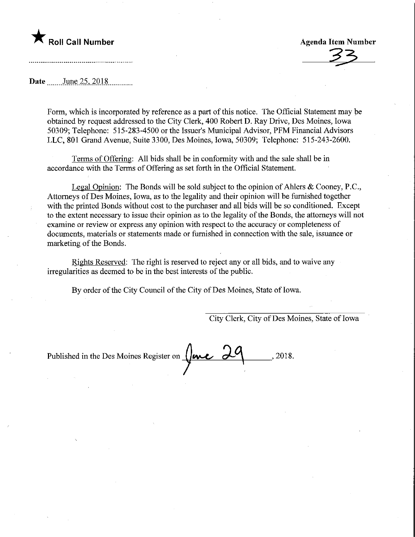

Agenda Item Number

Date June 25, 2018

Form, which is incorporated by reference as a part of this notice. The Official Statement may be obtained by request addressed to the City Clerk, 400 Robert D. Ray Drive, Des Moines, Iowa 50309; Telephone: 515-283-4500 or the Issuer's Municipal Advisor, PFM Financial Advisors LLC, 801 Grand Avenue, Suite 3300, Des Moines, Iowa, 50309; Telephone: 515-243-2600.

Terms of Offering: All bids shall be in conformity with and the sale shall be in accordance with the Terms of Offering as set forth in the Official Statement.

Legal Opinion: The Bonds will be sold subject to the opinion of Ahlers  $\&$  Cooney, P.C., Attorneys of Des Moines, Iowa, as to the legality and their opinion will be furnished together with the printed Bonds without cost to the purchaser and all bids will be so conditioned. Except to the extent necessary to issue their opinion as to the legality of the Bonds, the attorneys will not examine or review or express any opinion with respect to the accuracy or completeness of documents, materials or statements made or furnished in connection with the sale, issuance or marketing of the Bonds.

Rights Reserved: The right is reserved to reject any or all bids, and to waive any irregularities as deemed to be in the best interests of the public.

By order of the City Council of the City of Des Moines, State of Iowa.

City Clerk, City of Des Moines, State of Iowa

Published in the Des Moines Register on  $\sqrt{\frac{\text{m}}{2}}$ , 2018.